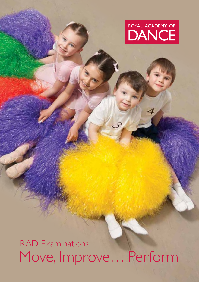# ROYAL ACADEMY OF **DANCE**

Move, Improve… Perform RAD Examinations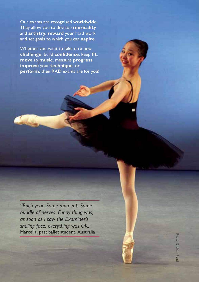Our exams are recognised **worldwide**. They allow you to develop **musicality** and **artistry**, **reward** your hard work and set goals to which you can **aspire**.

Whether you want to take on a new **challenge**, build **confidence**, keep **fit**, **move** to **music**, measure **progress**, **improve** your **technique**, or **perform**, then RAD exams are for you!

*"Each year. Same moment. Same bundle of nerves. Funny thing was, as soon as I saw the Examiner's smiling face, everything was OK."*  Marcella, past ballet student, Australia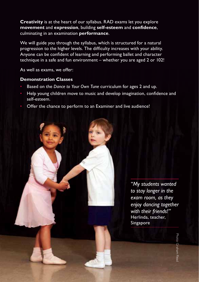**Creativity** is at the heart of our syllabus. RAD exams let you explore **movement** and **expression**, building **self-esteem** and **confidence**, culminating in an examination **performance**.

We will guide you through the syllabus, which is structured for a natural progression to the higher levels. The difficulty increases with your ability. Anyone can be confident of learning and performing ballet and character technique in a safe and fun environment – whether you are aged 2 or 102!

As well as exams, we offer:

#### **Demonstration Classes**

- Based on the *Dance to Your Own Tune* curriculum for ages 2 and up.
- Help young children move to music and develop imagination, confidence and self-esteem.
- Offer the chance to perform to an Examiner and live audience!

*"My students wanted to stay longer in the exam room, as they enjoy dancing together with their friends!"* Herlinda, teacher, Singapore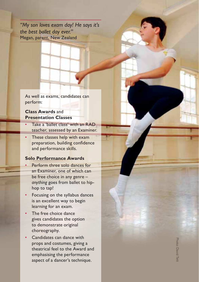*"My son loves exam day! He says it's the best ballet day ever."*  Megan, parent, New Zealand

As well as exams, candidates can perform:

#### **Class Awards** and **Presentation Classes**

- Take a 'ballet class' with an RAD teacher, assessed by an Examiner.
- These classes help with exam preparation, building confidence and performance skills.

#### **Solo Performance Awards**

- Perform three solo dances for an Examiner, one of which can be free choice in any genre – *anything* goes from ballet to hiphop to tap!
- Focusing on the syllabus dances is an excellent way to begin learning for an exam.
- The free choice dance gives candidates the option to demonstrate original choreography.
- Candidates can dance with props and costumes, giving a theatrical feel to the Award and emphasising the performance aspect of a dancer's technique.

Photo: David Tet Photo: David Tett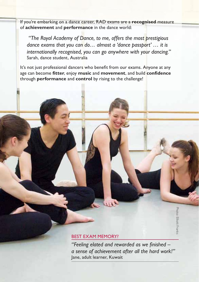If you're embarking on a dance career, RAD exams are a **recognised** measure of **achievement** and **performance** in the dance world:

 *"The Royal Academy of Dance, to me, offers the most prestigious dance exams that you can do… almost a 'dance passport' … it is internationally recognised, you can go anywhere with your dancing."*  Sarah, dance student, Australia

It's not just professional dancers who benefit from our exams. Anyone at any age can become **fitter**, enjoy **music** and **movement**, and build **confidence** through **performance** and **control** by rising to the challenge!

#### Best exam memory?

*"Feeling elated and rewarded as we finished – a sense of achievement after all the hard work!"*  Jane, adult learner, Kuwait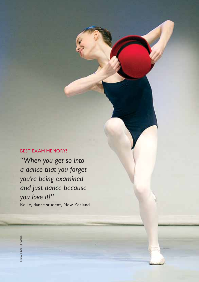### Best exam memory?

*"When you get so into a dance that you forget you're being examined and just dance because you love it!"*  Kellie, dance student, New Zealand

Photo: Elliott Frankshoto: Elliott Frank: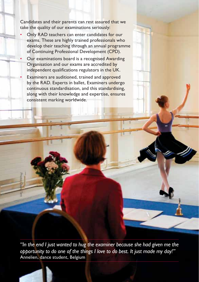Candidates and their parents can rest assured that we take the quality of our examinations seriously:

- Only RAD teachers can enter candidates for our exams. These are highly trained professionals who develop their teaching through an annual programme of Continuing Professional Development (CPD).
- Our examinations board is a recognised Awarding Organisation and our exams are accredited by independent qualifications regulators in the UK.
	- Examiners are auditioned, trained and approved by the RAD. Experts in ballet, Examiners undergo continuous standardisation, and this standardising, along with their knowledge and expertise, ensures consistent marking worldwide.

Photo: David Tett

*"In the end I just wanted to hug the examiner because she had given me the opportunity to do one of the things I love to do best. It just made my day!"*  Annelien, dance student, Belgium